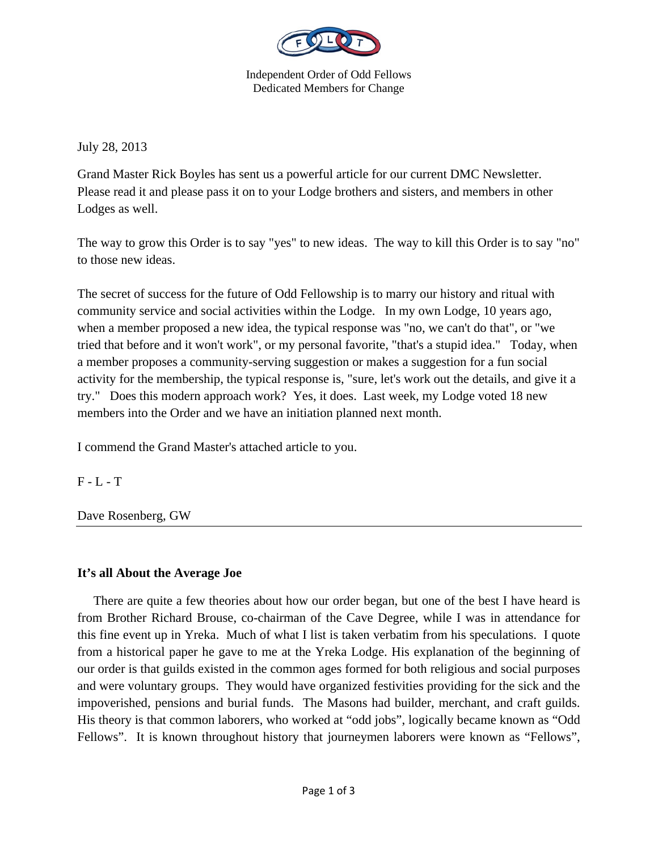

Independent Order of Odd Fellows Dedicated Members for Change

July 28, 2013

Grand Master Rick Boyles has sent us a powerful article for our current DMC Newsletter. Please read it and please pass it on to your Lodge brothers and sisters, and members in other Lodges as well.

The way to grow this Order is to say "yes" to new ideas. The way to kill this Order is to say "no" to those new ideas.

The secret of success for the future of Odd Fellowship is to marry our history and ritual with community service and social activities within the Lodge. In my own Lodge, 10 years ago, when a member proposed a new idea, the typical response was "no, we can't do that", or "we tried that before and it won't work", or my personal favorite, "that's a stupid idea." Today, when a member proposes a community-serving suggestion or makes a suggestion for a fun social activity for the membership, the typical response is, "sure, let's work out the details, and give it a try." Does this modern approach work? Yes, it does. Last week, my Lodge voted 18 new members into the Order and we have an initiation planned next month.

I commend the Grand Master's attached article to you.

 $F - L - T$ 

Dave Rosenberg, GW

## **It's all About the Average Joe**

 There are quite a few theories about how our order began, but one of the best I have heard is from Brother Richard Brouse, co-chairman of the Cave Degree, while I was in attendance for this fine event up in Yreka. Much of what I list is taken verbatim from his speculations. I quote from a historical paper he gave to me at the Yreka Lodge. His explanation of the beginning of our order is that guilds existed in the common ages formed for both religious and social purposes and were voluntary groups. They would have organized festivities providing for the sick and the impoverished, pensions and burial funds. The Masons had builder, merchant, and craft guilds. His theory is that common laborers, who worked at "odd jobs", logically became known as "Odd Fellows". It is known throughout history that journeymen laborers were known as "Fellows",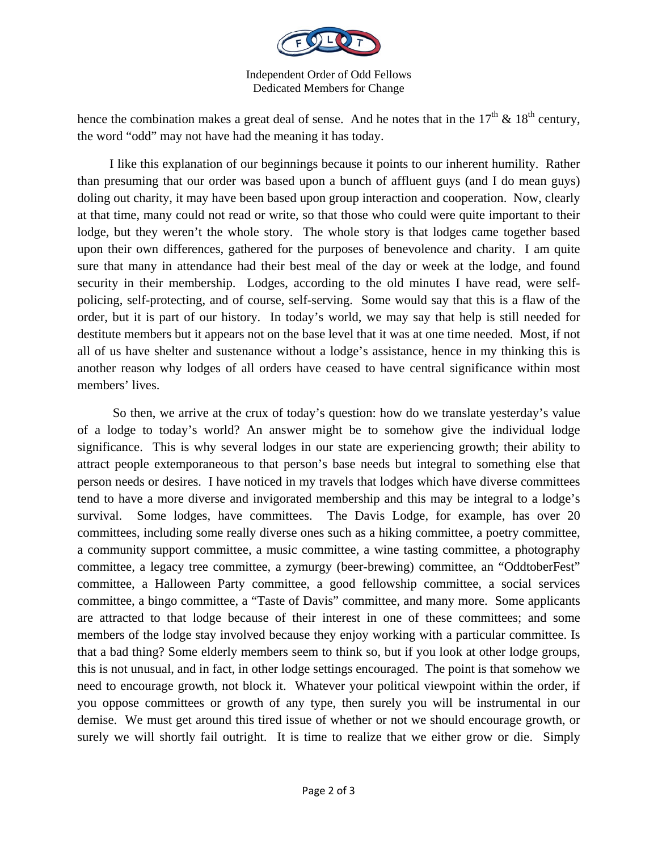

Independent Order of Odd Fellows Dedicated Members for Change

hence the combination makes a great deal of sense. And he notes that in the  $17<sup>th</sup>$  &  $18<sup>th</sup>$  century, the word "odd" may not have had the meaning it has today.

 I like this explanation of our beginnings because it points to our inherent humility. Rather than presuming that our order was based upon a bunch of affluent guys (and I do mean guys) doling out charity, it may have been based upon group interaction and cooperation. Now, clearly at that time, many could not read or write, so that those who could were quite important to their lodge, but they weren't the whole story. The whole story is that lodges came together based upon their own differences, gathered for the purposes of benevolence and charity. I am quite sure that many in attendance had their best meal of the day or week at the lodge, and found security in their membership. Lodges, according to the old minutes I have read, were selfpolicing, self-protecting, and of course, self-serving. Some would say that this is a flaw of the order, but it is part of our history. In today's world, we may say that help is still needed for destitute members but it appears not on the base level that it was at one time needed. Most, if not all of us have shelter and sustenance without a lodge's assistance, hence in my thinking this is another reason why lodges of all orders have ceased to have central significance within most members' lives.

 So then, we arrive at the crux of today's question: how do we translate yesterday's value of a lodge to today's world? An answer might be to somehow give the individual lodge significance. This is why several lodges in our state are experiencing growth; their ability to attract people extemporaneous to that person's base needs but integral to something else that person needs or desires. I have noticed in my travels that lodges which have diverse committees tend to have a more diverse and invigorated membership and this may be integral to a lodge's survival. Some lodges, have committees. The Davis Lodge, for example, has over 20 committees, including some really diverse ones such as a hiking committee, a poetry committee, a community support committee, a music committee, a wine tasting committee, a photography committee, a legacy tree committee, a zymurgy (beer-brewing) committee, an "OddtoberFest" committee, a Halloween Party committee, a good fellowship committee, a social services committee, a bingo committee, a "Taste of Davis" committee, and many more. Some applicants are attracted to that lodge because of their interest in one of these committees; and some members of the lodge stay involved because they enjoy working with a particular committee. Is that a bad thing? Some elderly members seem to think so, but if you look at other lodge groups, this is not unusual, and in fact, in other lodge settings encouraged. The point is that somehow we need to encourage growth, not block it. Whatever your political viewpoint within the order, if you oppose committees or growth of any type, then surely you will be instrumental in our demise. We must get around this tired issue of whether or not we should encourage growth, or surely we will shortly fail outright. It is time to realize that we either grow or die. Simply